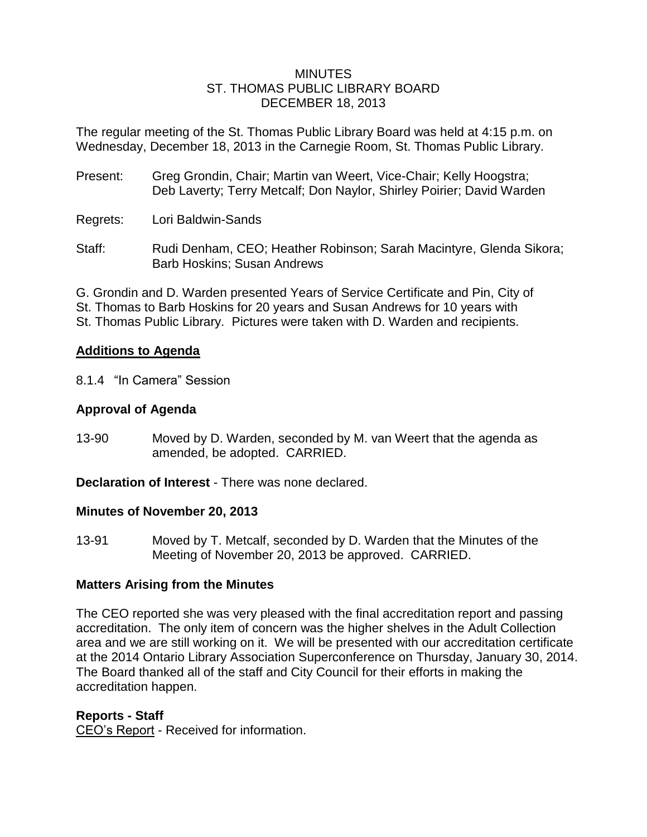#### **MINUTES** ST. THOMAS PUBLIC LIBRARY BOARD DECEMBER 18, 2013

The regular meeting of the St. Thomas Public Library Board was held at 4:15 p.m. on Wednesday, December 18, 2013 in the Carnegie Room, St. Thomas Public Library.

- Present: Greg Grondin, Chair; Martin van Weert, Vice-Chair; Kelly Hoogstra; Deb Laverty; Terry Metcalf; Don Naylor, Shirley Poirier; David Warden
- Regrets: Lori Baldwin-Sands
- Staff: Rudi Denham, CEO; Heather Robinson; Sarah Macintyre, Glenda Sikora; Barb Hoskins; Susan Andrews

G. Grondin and D. Warden presented Years of Service Certificate and Pin, City of St. Thomas to Barb Hoskins for 20 years and Susan Andrews for 10 years with St. Thomas Public Library. Pictures were taken with D. Warden and recipients.

### **Additions to Agenda**

8.1.4 "In Camera" Session

# **Approval of Agenda**

13-90 Moved by D. Warden, seconded by M. van Weert that the agenda as amended, be adopted. CARRIED.

**Declaration of Interest** - There was none declared.

### **Minutes of November 20, 2013**

13-91 Moved by T. Metcalf, seconded by D. Warden that the Minutes of the Meeting of November 20, 2013 be approved. CARRIED.

# **Matters Arising from the Minutes**

The CEO reported she was very pleased with the final accreditation report and passing accreditation. The only item of concern was the higher shelves in the Adult Collection area and we are still working on it. We will be presented with our accreditation certificate at the 2014 Ontario Library Association Superconference on Thursday, January 30, 2014. The Board thanked all of the staff and City Council for their efforts in making the accreditation happen.

### **Reports - Staff**

CEO's Report - Received for information.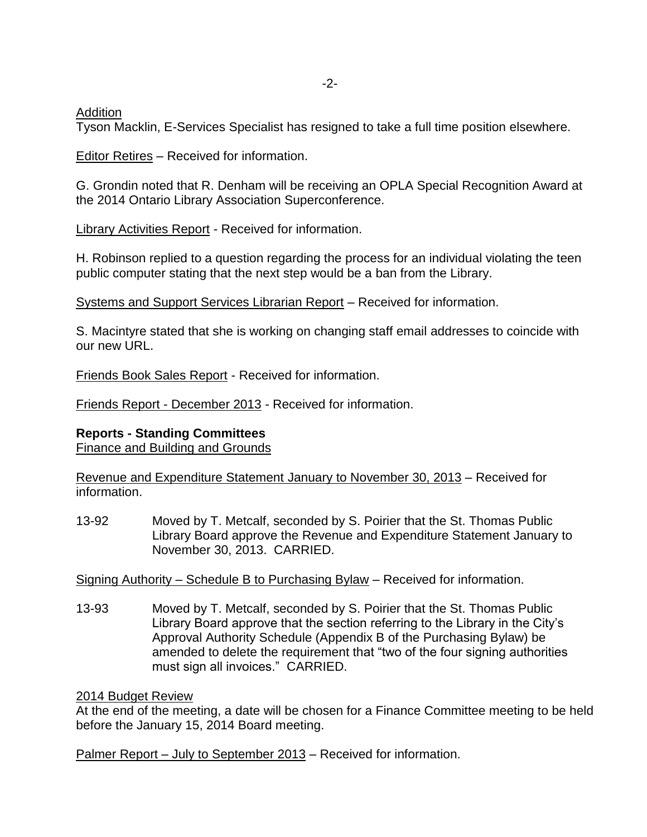Addition

Tyson Macklin, E-Services Specialist has resigned to take a full time position elsewhere.

Editor Retires – Received for information.

G. Grondin noted that R. Denham will be receiving an OPLA Special Recognition Award at the 2014 Ontario Library Association Superconference.

Library Activities Report - Received for information.

H. Robinson replied to a question regarding the process for an individual violating the teen public computer stating that the next step would be a ban from the Library.

Systems and Support Services Librarian Report – Received for information.

S. Macintyre stated that she is working on changing staff email addresses to coincide with our new URL.

Friends Book Sales Report - Received for information.

Friends Report - December 2013 - Received for information.

### **Reports - Standing Committees**

Finance and Building and Grounds

Revenue and Expenditure Statement January to November 30, 2013 – Received for information.

13-92 Moved by T. Metcalf, seconded by S. Poirier that the St. Thomas Public Library Board approve the Revenue and Expenditure Statement January to November 30, 2013. CARRIED.

Signing Authority – Schedule B to Purchasing Bylaw – Received for information.

13-93 Moved by T. Metcalf, seconded by S. Poirier that the St. Thomas Public Library Board approve that the section referring to the Library in the City's Approval Authority Schedule (Appendix B of the Purchasing Bylaw) be amended to delete the requirement that "two of the four signing authorities must sign all invoices." CARRIED.

2014 Budget Review

At the end of the meeting, a date will be chosen for a Finance Committee meeting to be held before the January 15, 2014 Board meeting.

Palmer Report – July to September 2013 – Received for information.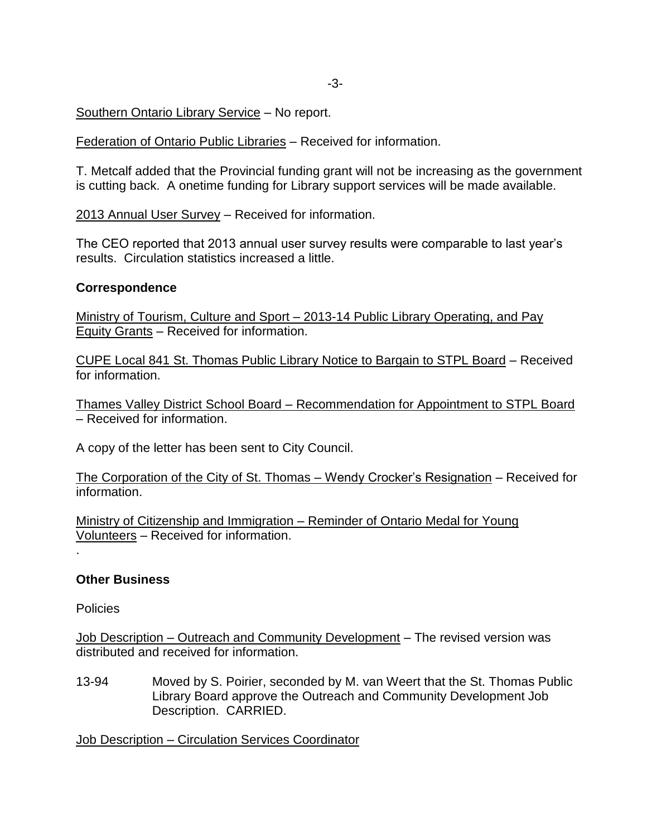## Southern Ontario Library Service – No report.

Federation of Ontario Public Libraries – Received for information.

T. Metcalf added that the Provincial funding grant will not be increasing as the government is cutting back. A onetime funding for Library support services will be made available.

2013 Annual User Survey – Received for information.

The CEO reported that 2013 annual user survey results were comparable to last year's results. Circulation statistics increased a little.

### **Correspondence**

Ministry of Tourism, Culture and Sport – 2013-14 Public Library Operating, and Pay Equity Grants – Received for information.

CUPE Local 841 St. Thomas Public Library Notice to Bargain to STPL Board – Received for information.

Thames Valley District School Board – Recommendation for Appointment to STPL Board – Received for information.

A copy of the letter has been sent to City Council.

The Corporation of the City of St. Thomas – Wendy Crocker's Resignation – Received for information.

Ministry of Citizenship and Immigration – Reminder of Ontario Medal for Young Volunteers – Received for information.

#### **Other Business**

**Policies** 

.

Job Description – Outreach and Community Development – The revised version was distributed and received for information.

13-94 Moved by S. Poirier, seconded by M. van Weert that the St. Thomas Public Library Board approve the Outreach and Community Development Job Description. CARRIED.

Job Description – Circulation Services Coordinator